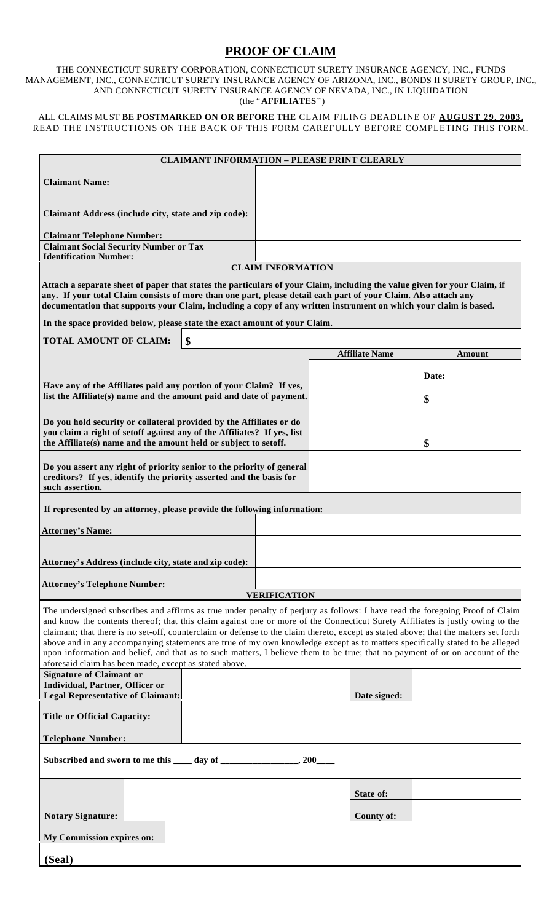## **PROOF OF CLAIM**

THE CONNECTICUT SURETY CORPORATION, CONNECTICUT SURETY INSURANCE AGENCY, INC., FUNDS MANAGEMENT, INC., CONNECTICUT SURETY INSURANCE AGENCY OF ARIZONA, INC., BONDS II SURETY GROUP, INC., AND CONNECTICUT SURETY INSURANCE AGENCY OF NEVADA, INC., IN LIQUIDATION (the "**AFFILIATES**")

ALL CLAIMS MUST **BE POSTMARKED ON OR BEFORE THE** CLAIM FILING DEADLINE OF **AUGUST 29, 2003.** READ THE INSTRUCTIONS ON THE BACK OF THIS FORM CAREFULLY BEFORE COMPLETING THIS FORM.

|                                                                                                                                                                                                                                                                                                                                                                                                                                                                                                                                                                                                                                                                                                                                  |    |                       | <b>CLAIMANT INFORMATION - PLEASE PRINT CLEARLY</b> |  |  |  |
|----------------------------------------------------------------------------------------------------------------------------------------------------------------------------------------------------------------------------------------------------------------------------------------------------------------------------------------------------------------------------------------------------------------------------------------------------------------------------------------------------------------------------------------------------------------------------------------------------------------------------------------------------------------------------------------------------------------------------------|----|-----------------------|----------------------------------------------------|--|--|--|
| <b>Claimant Name:</b>                                                                                                                                                                                                                                                                                                                                                                                                                                                                                                                                                                                                                                                                                                            |    |                       |                                                    |  |  |  |
|                                                                                                                                                                                                                                                                                                                                                                                                                                                                                                                                                                                                                                                                                                                                  |    |                       |                                                    |  |  |  |
| Claimant Address (include city, state and zip code):                                                                                                                                                                                                                                                                                                                                                                                                                                                                                                                                                                                                                                                                             |    |                       |                                                    |  |  |  |
| <b>Claimant Telephone Number:</b>                                                                                                                                                                                                                                                                                                                                                                                                                                                                                                                                                                                                                                                                                                |    |                       |                                                    |  |  |  |
| <b>Claimant Social Security Number or Tax</b><br><b>Identification Number:</b>                                                                                                                                                                                                                                                                                                                                                                                                                                                                                                                                                                                                                                                   |    |                       |                                                    |  |  |  |
| <b>CLAIM INFORMATION</b>                                                                                                                                                                                                                                                                                                                                                                                                                                                                                                                                                                                                                                                                                                         |    |                       |                                                    |  |  |  |
| Attach a separate sheet of paper that states the particulars of your Claim, including the value given for your Claim, if<br>any. If your total Claim consists of more than one part, please detail each part of your Claim. Also attach any<br>documentation that supports your Claim, including a copy of any written instrument on which your claim is based.                                                                                                                                                                                                                                                                                                                                                                  |    |                       |                                                    |  |  |  |
| In the space provided below, please state the exact amount of your Claim.                                                                                                                                                                                                                                                                                                                                                                                                                                                                                                                                                                                                                                                        |    |                       |                                                    |  |  |  |
| <b>TOTAL AMOUNT OF CLAIM:</b>                                                                                                                                                                                                                                                                                                                                                                                                                                                                                                                                                                                                                                                                                                    | \$ |                       |                                                    |  |  |  |
|                                                                                                                                                                                                                                                                                                                                                                                                                                                                                                                                                                                                                                                                                                                                  |    | <b>Affiliate Name</b> | Amount                                             |  |  |  |
|                                                                                                                                                                                                                                                                                                                                                                                                                                                                                                                                                                                                                                                                                                                                  |    |                       | Date:                                              |  |  |  |
| Have any of the Affiliates paid any portion of your Claim? If yes,<br>list the Affiliate(s) name and the amount paid and date of payment.                                                                                                                                                                                                                                                                                                                                                                                                                                                                                                                                                                                        |    |                       | \$                                                 |  |  |  |
|                                                                                                                                                                                                                                                                                                                                                                                                                                                                                                                                                                                                                                                                                                                                  |    |                       |                                                    |  |  |  |
| Do you hold security or collateral provided by the Affiliates or do<br>you claim a right of setoff against any of the Affiliates? If yes, list                                                                                                                                                                                                                                                                                                                                                                                                                                                                                                                                                                                   |    |                       |                                                    |  |  |  |
| the Affiliate(s) name and the amount held or subject to setoff.                                                                                                                                                                                                                                                                                                                                                                                                                                                                                                                                                                                                                                                                  |    |                       | \$                                                 |  |  |  |
| Do you assert any right of priority senior to the priority of general<br>creditors? If yes, identify the priority asserted and the basis for<br>such assertion.                                                                                                                                                                                                                                                                                                                                                                                                                                                                                                                                                                  |    |                       |                                                    |  |  |  |
| If represented by an attorney, please provide the following information:                                                                                                                                                                                                                                                                                                                                                                                                                                                                                                                                                                                                                                                         |    |                       |                                                    |  |  |  |
| <b>Attorney's Name:</b>                                                                                                                                                                                                                                                                                                                                                                                                                                                                                                                                                                                                                                                                                                          |    |                       |                                                    |  |  |  |
| Attorney's Address (include city, state and zip code):                                                                                                                                                                                                                                                                                                                                                                                                                                                                                                                                                                                                                                                                           |    |                       |                                                    |  |  |  |
| <b>Attorney's Telephone Number:</b>                                                                                                                                                                                                                                                                                                                                                                                                                                                                                                                                                                                                                                                                                              |    |                       |                                                    |  |  |  |
| <b>VERIFICATION</b>                                                                                                                                                                                                                                                                                                                                                                                                                                                                                                                                                                                                                                                                                                              |    |                       |                                                    |  |  |  |
| The undersigned subscribes and affirms as true under penalty of perjury as follows: I have read the foregoing Proof of Claim<br>and know the contents thereof; that this claim against one or more of the Connecticut Surety Affiliates is justly owing to the<br>claimant; that there is no set-off, counterclaim or defense to the claim thereto, except as stated above; that the matters set forth<br>above and in any accompanying statements are true of my own knowledge except as to matters specifically stated to be alleged<br>upon information and belief, and that as to such matters, I believe them to be true; that no payment of or on account of the<br>aforesaid claim has been made, except as stated above. |    |                       |                                                    |  |  |  |
| <b>Signature of Claimant or</b><br>Individual, Partner, Officer or                                                                                                                                                                                                                                                                                                                                                                                                                                                                                                                                                                                                                                                               |    |                       |                                                    |  |  |  |
| <b>Legal Representative of Claimant:</b>                                                                                                                                                                                                                                                                                                                                                                                                                                                                                                                                                                                                                                                                                         |    | Date signed:          |                                                    |  |  |  |
| <b>Title or Official Capacity:</b>                                                                                                                                                                                                                                                                                                                                                                                                                                                                                                                                                                                                                                                                                               |    |                       |                                                    |  |  |  |
| <b>Telephone Number:</b>                                                                                                                                                                                                                                                                                                                                                                                                                                                                                                                                                                                                                                                                                                         |    |                       |                                                    |  |  |  |
| Subscribed and sworn to me this _____ day of __________________, 200____                                                                                                                                                                                                                                                                                                                                                                                                                                                                                                                                                                                                                                                         |    |                       |                                                    |  |  |  |
|                                                                                                                                                                                                                                                                                                                                                                                                                                                                                                                                                                                                                                                                                                                                  |    | State of:             |                                                    |  |  |  |
| <b>Notary Signature:</b>                                                                                                                                                                                                                                                                                                                                                                                                                                                                                                                                                                                                                                                                                                         |    | <b>County of:</b>     |                                                    |  |  |  |
| My Commission expires on:                                                                                                                                                                                                                                                                                                                                                                                                                                                                                                                                                                                                                                                                                                        |    |                       |                                                    |  |  |  |
| (Seal)                                                                                                                                                                                                                                                                                                                                                                                                                                                                                                                                                                                                                                                                                                                           |    |                       |                                                    |  |  |  |